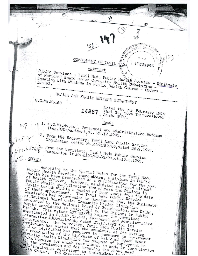